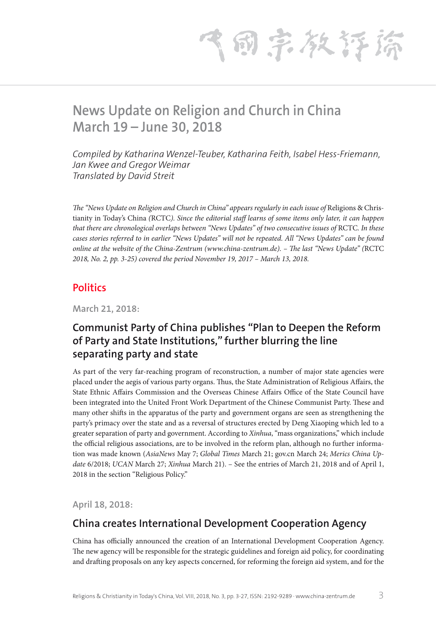气雨宗教存裕

# **News Update on Religion and Church in China March 19 – June 30, 2018**

*Compiled by Katharina Wenzel-Teuber, Katharina Feith, Isabel Hess-Friemann, Jan Kwee and Gregor Weimar Translated by David Streit*

*The "News Update on Religion and Church in China" appears regularly in each issue of Religions & Chris*tianity in Today's China *(*RCTC*). Since the editorial staff learns of some items only later, it can happen that there are chronological overlaps between "News Updates" of two consecutive issues of RCTC. In these cases stories referred to in earlier "News Updates" will not be repeated. All "News Updates" can be found online at the website of the China-Zentrum (www.china-zentrum.de). – The last "News Update" (*RCTC *2018, No. 2, pp. 3-25) covered the period November 19, 2017 – March 13, 2018.*

#### **Politics**

**March 21, 2018:**

### **Communist Party of China publishes "Plan to Deepen the Reform of Party and State Institutions," further blurring the line separating party and state**

As part of the very far-reaching program of reconstruction, a number of major state agencies were placed under the aegis of various party organs. Thus, the State Administration of Religious Affairs, the State Ethnic Affairs Commission and the Overseas Chinese Affairs Office of the State Council have been integrated into the United Front Work Department of the Chinese Communist Party. These and many other shifts in the apparatus of the party and government organs are seen as strengthening the party's primacy over the state and as a reversal of structures erected by Deng Xiaoping which led to a greater separation of party and government. According to *Xinhua*, "mass organizations," which include the official religious associations, are to be involved in the reform plan, although no further information was made known (*AsiaNews* May 7; *Global Times* March 21; gov.cn March 24; *Merics China Update* 6/2018; *UCAN* March 27; *Xinhua* March 21). – See the entries of March 21, 2018 and of April 1, 2018 in the section "Religious Policy."

**April 18, 2018:**

## **China creates International Development Cooperation Agency**

China has officially announced the creation of an International Development Cooperation Agency. The new agency will be responsible for the strategic guidelines and foreign aid policy, for coordinating and drafting proposals on any key aspects concerned, for reforming the foreign aid system, and for the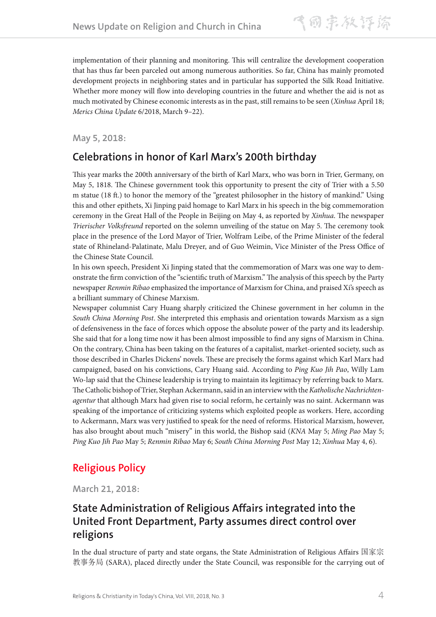implementation of their planning and monitoring. This will centralize the development cooperation that has thus far been parceled out among numerous authorities. So far, China has mainly promoted development projects in neighboring states and in particular has supported the Silk Road Initiative. Whether more money will flow into developing countries in the future and whether the aid is not as much motivated by Chinese economic interests as in the past, still remains to be seen (*Xinhua* April 18; *Merics China Update* 6/2018, March 9–22).

**May 5, 2018:** 

#### **Celebrations in honor of Karl Marx's 200th birthday**

This year marks the 200th anniversary of the birth of Karl Marx, who was born in Trier, Germany, on May 5, 1818. The Chinese government took this opportunity to present the city of Trier with a 5.50 m statue (18 ft.) to honor the memory of the "greatest philosopher in the history of mankind." Using this and other epithets, Xi Jinping paid homage to Karl Marx in his speech in the big commemoration ceremony in the Great Hall of the People in Beijing on May 4, as reported by *Xinhua*. The newspaper *Trierischer Volksfreund* reported on the solemn unveiling of the statue on May 5. The ceremony took place in the presence of the Lord Mayor of Trier, Wolfram Leibe, of the Prime Minister of the federal state of Rhineland-Palatinate, Malu Dreyer, and of Guo Weimin, Vice Minister of the Press Office of the Chinese State Council.

In his own speech, President Xi Jinping stated that the commemoration of Marx was one way to demonstrate the firm conviction of the "scientific truth of Marxism." The analysis of this speech by the Party newspaper *Renmin Ribao* emphasized the importance of Marxism for China, and praised Xi's speech as a brilliant summary of Chinese Marxism.

Newspaper columnist Cary Huang sharply criticized the Chinese government in her column in the *South China Morning Post*. She interpreted this emphasis and orientation towards Marxism as a sign of defensiveness in the face of forces which oppose the absolute power of the party and its leadership. She said that for a long time now it has been almost impossible to find any signs of Marxism in China. On the contrary, China has been taking on the features of a capitalist, market-oriented society, such as those described in Charles Dickens' novels. These are precisely the forms against which Karl Marx had campaigned, based on his convictions, Cary Huang said. According to *Ping Kuo Jih Pao*, Willy Lam Wo-lap said that the Chinese leadership is trying to maintain its legitimacy by referring back to Marx. The Catholic bishop of Trier, Stephan Ackermann, said in an interview with the *Katholische Nachrichtenagentur* that although Marx had given rise to social reform, he certainly was no saint. Ackermann was speaking of the importance of criticizing systems which exploited people as workers. Here, according to Ackermann, Marx was very justified to speak for the need of reforms. Historical Marxism, however, has also brought about much "misery" in this world, the Bishop said (*KNA* May 5; *Ming Pao* May 5; *Ping Kuo Jih Pao* May 5; *Renmin Ribao* May 6; *South China Morning Post* May 12; *Xinhua* May 4, 6).

## **Religious Policy**

**March 21, 2018:**

#### **State Administration of Religious Affairs integrated into the United Front Department, Party assumes direct control over religions**

In the dual structure of party and state organs, the State Administration of Religious Affairs 国家宗 教事务局 (SARA), placed directly under the State Council, was responsible for the carrying out of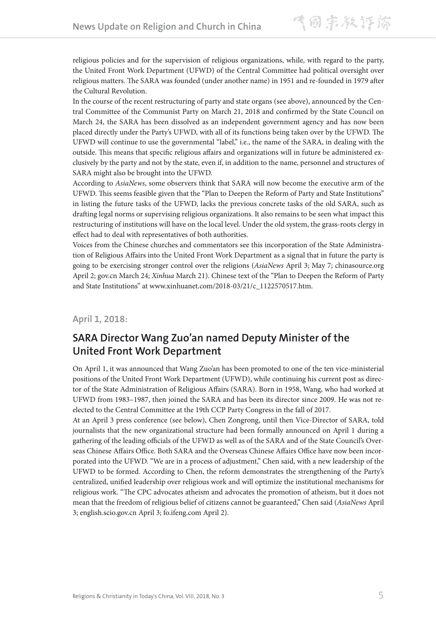religious policies and for the supervision of religious organizations, while, with regard to the party, the United Front Work Department (UFWD) of the Central Committee had political oversight over religious matters. The SARA was founded (under another name) in 1951 and re-founded in 1979 after the Cultural Revolution.

In the course of the recent restructuring of party and state organs (see above), announced by the Central Committee of the Communist Party on March 21, 2018 and confirmed by the State Council on March 24, the SARA has been dissolved as an independent government agency and has now been placed directly under the Party's UFWD, with all of its functions being taken over by the UFWD. The UFWD will continue to use the governmental "label," i.e., the name of the SARA, in dealing with the outside. This means that specific religious affairs and organizations will in future be administered exclusively by the party and not by the state, even if, in addition to the name, personnel and structures of SARA might also be brought into the UFWD.

According to *AsiaNews*, some observers think that SARA will now become the executive arm of the UFWD. This seems feasible given that the "Plan to Deepen the Reform of Party and State Institutions" in listing the future tasks of the UFWD, lacks the previous concrete tasks of the old SARA, such as drafting legal norms or supervising religious organizations. It also remains to be seen what impact this restructuring of institutions will have on the local level. Under the old system, the grass-roots clergy in effect had to deal with representatives of both authorities.

Voices from the Chinese churches and commentators see this incorporation of the State Administration of Religious Affairs into the United Front Work Department as a signal that in future the party is going to be exercising stronger control over the religions (*AsiaNews* April 3; May 7; chinasource.org April 2; gov.cn March 24; *Xinhua* March 21). Chinese text of the "Plan to Deepen the Reform of Party and State Institutions" at www.xinhuanet.com/2018-03/21/c\_1122570517.htm.

**April 1, 2018:**

## **SARA Director Wang Zuo'an named Deputy Minister of the United Front Work Department**

On April 1, it was announced that Wang Zuo'an has been promoted to one of the ten vice-ministerial positions of the United Front Work Department (UFWD), while continuing his current post as director of the State Administration of Religious Affairs (SARA). Born in 1958, Wang, who had worked at UFWD from 1983–1987, then joined the SARA and has been its director since 2009. He was not reelected to the Central Committee at the 19th CCP Party Congress in the fall of 2017.

At an April 3 press conference (see below), Chen Zongrong, until then Vice-Director of SARA, told journalists that the new organizational structure had been formally announced on April 1 during a gathering of the leading officials of the UFWD as well as of the SARA and of the State Council's Overseas Chinese Affairs Office. Both SARA and the Overseas Chinese Affairs Office have now been incorporated into the UFWD. "We are in a process of adjustment," Chen said, with a new leadership of the UFWD to be formed. According to Chen, the reform demonstrates the strengthening of the Party's centralized, unified leadership over religious work and will optimize the institutional mechanisms for religious work. "The CPC advocates atheism and advocates the promotion of atheism, but it does not mean that the freedom of religious belief of citizens cannot be guaranteed," Chen said (*AsiaNews* April 3; english.scio.gov.cn April 3; fo.ifeng.com April 2).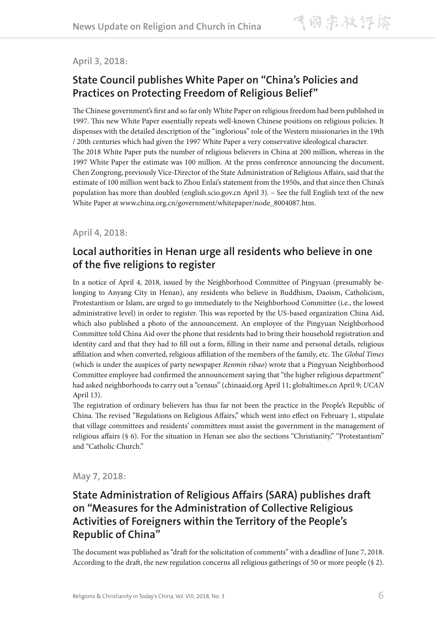#### **April 3, 2018:**

### **State Council publishes White Paper on "China's Policies and Practices on Protecting Freedom of Religious Belief"**

The Chinese government's first and so far only White Paper on religious freedom had been published in 1997. This new White Paper essentially repeats well-known Chinese positions on religious policies. It dispenses with the detailed description of the "inglorious" role of the Western missionaries in the 19th / 20th centuries which had given the 1997 White Paper a very conservative ideological character. The 2018 White Paper puts the number of religious believers in China at 200 million, whereas in the 1997 White Paper the estimate was 100 million. At the press conference announcing the document, Chen Zongrong, previously Vice-Director of the State Administration of Religious Affairs, said that the estimate of 100 million went back to Zhou Enlai's statement from the 1950s, and that since then China's population has more than doubled (english.scio.gov.cn April 3). – See the full English text of the new White Paper at www.china.org.cn/government/whitepaper/node\_8004087.htm.

#### **April 4, 2018:**

#### **Local authorities in Henan urge all residents who believe in one of the five religions to register**

In a notice of April 4, 2018, issued by the Neighborhood Committee of Pingyuan (presumably belonging to Anyang City in Henan), any residents who believe in Buddhism, Daoism, Catholicism, Protestantism or Islam, are urged to go immediately to the Neighborhood Committee (i.e., the lowest administrative level) in order to register. This was reported by the US-based organization China Aid, which also published a photo of the announcement. An employee of the Pingyuan Neighborhood Committee told China Aid over the phone that residents had to bring their household registration and identity card and that they had to fill out a form, filling in their name and personal details, religious affiliation and when converted, religious affiliation of the members of the family, etc. The *Global Times* (which is under the auspices of party newspaper *Renmin ribao*) wrote that a Pingyuan Neighborhood Committee employee had confirmed the announcement saying that "the higher religious department" had asked neighborhoods to carry out a "census" (chinaaid.org April 11; globaltimes.cn April 9; *UCAN* April 13).

The registration of ordinary believers has thus far not been the practice in the People's Republic of China. The revised "Regulations on Religious Affairs," which went into effect on February 1, stipulate that village committees and residents' committees must assist the government in the management of religious affairs (§ 6). For the situation in Henan see also the sections "Christianity," "Protestantism" and "Catholic Church."

**May 7, 2018:**

### **State Administration of Religious Affairs (SARA) publishes draft on "Measures for the Administration of Collective Religious Activities of Foreigners within the Territory of the People's Republic of China"**

The document was published as "draft for the solicitation of comments" with a deadline of June 7, 2018. According to the draft, the new regulation concerns all religious gatherings of 50 or more people (§ 2).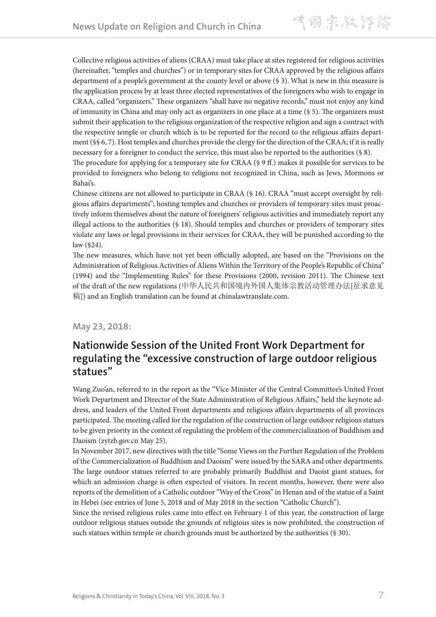Collective religious activities of aliens (CRAA) must take place at sites registered for religious activities (hereinafter, "temples and churches") or in temporary sites for CRAA approved by the religious affairs department of a people's government at the county level or above (§ 3). What is new in this measure is the application process by at least three elected representatives of the foreigners who wish to engage in CRAA, called "organizers." These organizers "shall have no negative records," must not enjoy any kind of immunity in China and may only act as organizers in one place at a time (§ 5). The organizers must submit their application to the religious organization of the respective religion and sign a contract with the respective temple or church which is to be reported for the record to the religious affairs department (§§ 6, 7). Host temples and churches provide the clergy for the direction of the CRAA; if it is really necessary for a foreigner to conduct the service, this must also be reported to the authorities (§ 8).

The procedure for applying for a temporary site for CRAA (§ 9 ff.) makes it possible for services to be provided to foreigners who belong to religions not recognized in China, such as Jews, Mormons or Bahai's.

Chinese citizens are not allowed to participate in CRAA (§ 16). CRAA "must accept oversight by religious affairs departments"; hosting temples and churches or providers of temporary sites must proactively inform themselves about the nature of foreigners' religious activities and immediately report any illegal actions to the authorities (§ 18). Should temples and churches or providers of temporary sites violate any laws or legal provisions in their services for CRAA, they will be punished according to the law (§24).

The new measures, which have not yet been officially adopted, are based on the "Provisions on the Administration of Religious Activities of Aliens Within the Territory of the People's Republic of China" (1994) and the "Implementing Rules" for these Provisions (2000, revision 2011). The Chinese text of the draft of the new regulations (中华人民共和国境内外国人集体宗教活动管理办法[征求意见 稿]) and an English translation can be found at chinalawtranslate.com.

#### **May 23, 2018:**

#### **Nationwide Session of the United Front Work Department for regulating the "excessive construction of large outdoor religious statues"**

Wang Zuo'an, referred to in the report as the "Vice Minister of the Central Committee's United Front Work Department and Director of the State Administration of Religious Affairs," held the keynote address, and leaders of the United Front departments and religious affairs departments of all provinces participated. The meeting called for the regulation of the construction of large outdoor religious statues to be given priority in the context of regulating the problem of the commercialization of Buddhism and Daoism (zytzb.gov.cn May 25).

In November 2017, new directives with the title "Some Views on the Further Regulation of the Problem of the Commercialization of Buddhism and Daoism" were issued by the SARA and other departments. The large outdoor statues referred to are probably primarily Buddhist and Daoist giant statues, for which an admission charge is often expected of visitors. In recent months, however, there were also reports of the demolition of a Catholic outdoor "Way of the Cross" in Henan and of the statue of a Saint in Hebei (see entries of June 5, 2018 and of May 2018 in the section "Catholic Church").

Since the revised religious rules came into effect on February 1 of this year, the construction of large outdoor religious statues outside the grounds of religious sites is now prohibited, the construction of such statues within temple or church grounds must be authorized by the authorities (§ 30).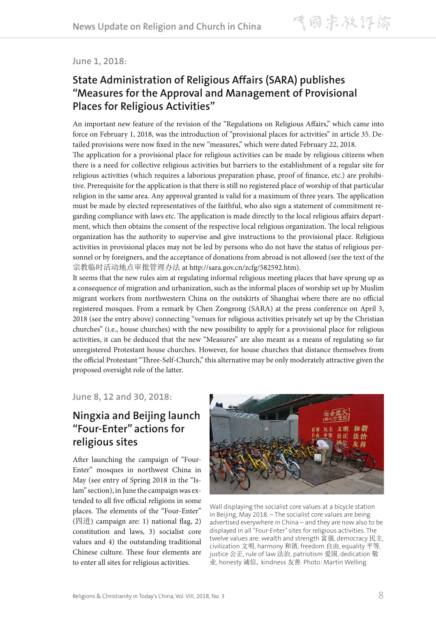**June 1, 2018:**

### **State Administration of Religious Affairs (SARA) publishes "Measures for the Approval and Management of Provisional Places for Religious Activities"**

An important new feature of the revision of the "Regulations on Religious Affairs," which came into force on February 1, 2018, was the introduction of "provisional places for activities" in article 35. Detailed provisions were now fixed in the new "measures," which were dated February 22, 2018. The application for a provisional place for religious activities can be made by religious citizens when there is a need for collective religious activities but barriers to the establishment of a regular site for religious activities (which requires a laborious preparation phase, proof of finance, etc.) are prohibitive. Prerequisite for the application is that there is still no registered place of worship of that particular religion in the same area. Any approval granted is valid for a maximum of three years. The application must be made by elected representatives of the faithful, who also sign a statement of commitment regarding compliance with laws etc. The application is made directly to the local religious affairs department, which then obtains the consent of the respective local religious organization. The local religious organization has the authority to supervise and give instructions to the provisional place. Religious activities in provisional places may not be led by persons who do not have the status of religious personnel or by foreigners, and the acceptance of donations from abroad is not allowed (see the text of the 宗教临时活动地点审批管理办法 at http://sara.gov.cn/zcfg/582592.htm).

It seems that the new rules aim at regulating informal religious meeting places that have sprung up as a consequence of migration and urbanization, such as the informal places of worship set up by Muslim migrant workers from northwestern China on the outskirts of Shanghai where there are no official registered mosques. From a remark by Chen Zongrong (SARA) at the press conference on April 3, 2018 (see the entry above) connecting "venues for religious activities privately set up by the Christian churches" (i.e., house churches) with the new possibility to apply for a provisional place for religious activities, it can be deduced that the new "Measures" are also meant as a means of regulating so far unregistered Protestant house churches. However, for house churches that distance themselves from the official Protestant "Three-Self-Church," this alternative may be only moderately attractive given the proposed oversight role of the latter.

**June 8, 12 and 30, 2018:**

## **Ningxia and Beijing launch "Four-Enter" actions for religious sites**

After launching the campaign of "Four-Enter" mosques in northwest China in May (see entry of Spring 2018 in the "Islam" section), in June the campaign was extended to all five official religions in some places. The elements of the "Four-Enter" (四进) campaign are: 1) national flag, 2) constitution and laws, 3) socialist core values and 4) the outstanding traditional Chinese culture. These four elements are to enter all sites for religious activities.



Wall displaying the socialist core values at a bicycle station in Beijing, May 2018. – The socialist core values are being advertised everywhere in China – and they are now also to be displayed in all "Four-Enter" sites for religious activities. The twelve values are: wealth and strength 富强, democracy 民主, civilization 文明, harmony 和谐, freedom 自由, equality 平等, justice 公正, rule of law 法治, patriotism 爱国, dedication 敬 业, honesty 诚信, kindness 友善. Photo: Martin Welling.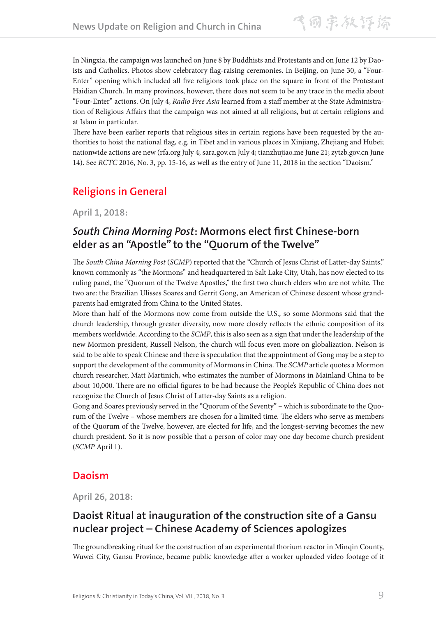In Ningxia, the campaign was launched on June 8 by Buddhists and Protestants and on June 12 by Daoists and Catholics. Photos show celebratory flag-raising ceremonies. In Beijing, on June 30, a "Four-Enter" opening which included all five religions took place on the square in front of the Protestant Haidian Church. In many provinces, however, there does not seem to be any trace in the media about "Four-Enter" actions. On July 4, *Radio Free Asia* learned from a staff member at the State Administration of Religious Affairs that the campaign was not aimed at all religions, but at certain religions and at Islam in particular.

There have been earlier reports that religious sites in certain regions have been requested by the authorities to hoist the national flag, e.g. in Tibet and in various places in Xinjiang, Zhejiang and Hubei; nationwide actions are new (rfa.org July 4; sara.gov.cn July 4; tianzhujiao.me June 21; zytzb.gov.cn June 14). See *RCTC* 2016, No. 3, pp. 15-16, as well as the entry of June 11, 2018 in the section "Daoism."

## **Religions in General**

**April 1, 2018:**

### *South China Morning Post***: Mormons elect first Chinese-born elder as an "Apostle" to the "Quorum of the Twelve"**

The *South China Morning Post* (*SCMP*) reported that the "Church of Jesus Christ of Latter-day Saints," known commonly as "the Mormons" and headquartered in Salt Lake City, Utah, has now elected to its ruling panel, the "Quorum of the Twelve Apostles," the first two church elders who are not white. The two are: the Brazilian Ulisses Soares and Gerrit Gong, an American of Chinese descent whose grandparents had emigrated from China to the United States.

More than half of the Mormons now come from outside the U.S., so some Mormons said that the church leadership, through greater diversity, now more closely reflects the ethnic composition of its members worldwide. According to the *SCMP*, this is also seen as a sign that under the leadership of the new Mormon president, Russell Nelson, the church will focus even more on globalization. Nelson is said to be able to speak Chinese and there is speculation that the appointment of Gong may be a step to support the development of the community of Mormons in China. The *SCMP* article quotes a Mormon church researcher, Matt Martinich, who estimates the number of Mormons in Mainland China to be about 10,000. There are no official figures to be had because the People's Republic of China does not recognize the Church of Jesus Christ of Latter-day Saints as a religion.

Gong and Soares previously served in the "Quorum of the Seventy" – which is subordinate to the Quorum of the Twelve – whose members are chosen for a limited time. The elders who serve as members of the Quorum of the Twelve, however, are elected for life, and the longest-serving becomes the new church president. So it is now possible that a person of color may one day become church president (*SCMP* April 1).

#### **Daoism**

**April 26, 2018:**

## **Daoist Ritual at inauguration of the construction site of a Gansu nuclear project – Chinese Academy of Sciences apologizes**

The groundbreaking ritual for the construction of an experimental thorium reactor in Minqin County, Wuwei City, Gansu Province, became public knowledge after a worker uploaded video footage of it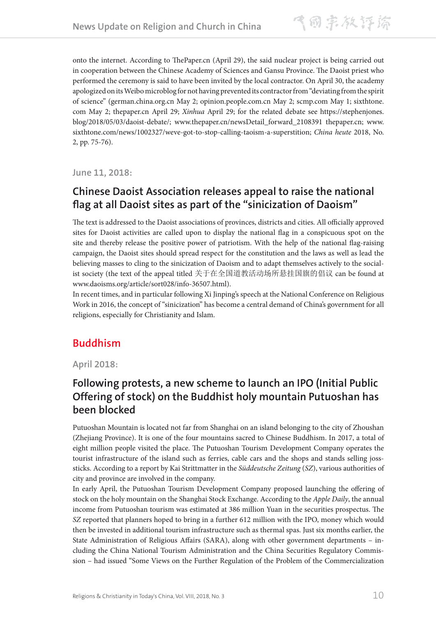onto the internet. According to ThePaper.cn (April 29), the said nuclear project is being carried out in cooperation between the Chinese Academy of Sciences and Gansu Province. The Daoist priest who performed the ceremony is said to have been invited by the local contractor. On April 30, the academy apologized on its Weibo microblog for not having prevented its contractor from "deviating from the spirit of science" (german.china.org.cn May 2; opinion.people.com.cn May 2; scmp.com May 1; sixthtone. com May 2; thepaper.cn April 29; *Xinhua* April 29; for the related debate see https://stephenjones. blog/2018/05/03/daoist-debate/; www.thepaper.cn/newsDetail\_forward\_2108391 thepaper.cn; www. sixthtone.com/news/1002327/weve-got-to-stop-calling-taoism-a-superstition; *China heute* 2018, No. 2, pp. 75-76).

**June 11, 2018:**

### **Chinese Daoist Association releases appeal to raise the national flag at all Daoist sites as part of the "sinicization of Daoism"**

The text is addressed to the Daoist associations of provinces, districts and cities. All officially approved sites for Daoist activities are called upon to display the national flag in a conspicuous spot on the site and thereby release the positive power of patriotism. With the help of the national flag-raising campaign, the Daoist sites should spread respect for the constitution and the laws as well as lead the believing masses to cling to the sinicization of Daoism and to adapt themselves actively to the socialist society (the text of the appeal titled 关于在全国道教活动场所悬挂国旗的倡议 can be found at www.daoisms.org/article/sort028/info-36507.html).

In recent times, and in particular following Xi Jinping's speech at the National Conference on Religious Work in 2016, the concept of "sinicization" has become a central demand of China's government for all religions, especially for Christianity and Islam.

## **Buddhism**

**April 2018:**

### **Following protests, a new scheme to launch an IPO (Initial Public Offering of stock) on the Buddhist holy mountain Putuoshan has been blocked**

Putuoshan Mountain is located not far from Shanghai on an island belonging to the city of Zhoushan (Zhejiang Province). It is one of the four mountains sacred to Chinese Buddhism. In 2017, a total of eight million people visited the place. The Putuoshan Tourism Development Company operates the tourist infrastructure of the island such as ferries, cable cars and the shops and stands selling josssticks. According to a report by Kai Strittmatter in the *Süddeutsche Zeitung* (*SZ*), various authorities of city and province are involved in the company.

In early April, the Putuoshan Tourism Development Company proposed launching the offering of stock on the holy mountain on the Shanghai Stock Exchange. According to the *Apple Daily*, the annual income from Putuoshan tourism was estimated at 386 million Yuan in the securities prospectus. The *SZ* reported that planners hoped to bring in a further 612 million with the IPO, money which would then be invested in additional tourism infrastructure such as thermal spas. Just six months earlier, the State Administration of Religious Affairs (SARA), along with other government departments – including the China National Tourism Administration and the China Securities Regulatory Commission – had issued "Some Views on the Further Regulation of the Problem of the Commercialization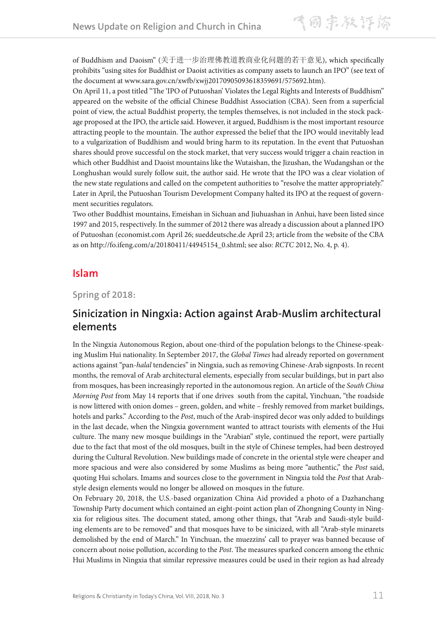of Buddhism and Daoism" (关于进一步治理佛教道教商业化问题的若干意见), which specifically prohibits "using sites for Buddhist or Daoist activities as company assets to launch an IPO" (see text of the document at www.sara.gov.cn/xwfb/xwjj20170905093618359691/575692.htm).

On April 11, a post titled "The 'IPO of Putuoshan' Violates the Legal Rights and Interests of Buddhism" appeared on the website of the official Chinese Buddhist Association (CBA). Seen from a superficial point of view, the actual Buddhist property, the temples themselves, is not included in the stock package proposed at the IPO, the article said. However, it argued, Buddhism is the most important resource attracting people to the mountain. The author expressed the belief that the IPO would inevitably lead to a vulgarization of Buddhism and would bring harm to its reputation. In the event that Putuoshan shares should prove successful on the stock market, that very success would trigger a chain reaction in which other Buddhist and Daoist mountains like the Wutaishan, the Jizushan, the Wudangshan or the Longhushan would surely follow suit, the author said. He wrote that the IPO was a clear violation of the new state regulations and called on the competent authorities to "resolve the matter appropriately." Later in April, the Putuoshan Tourism Development Company halted its IPO at the request of government securities regulators.

Two other Buddhist mountains, Emeishan in Sichuan and Jiuhuashan in Anhui, have been listed since 1997 and 2015, respectively. In the summer of 2012 there was already a discussion about a planned IPO of Putuoshan (economist.com April 26; sueddeutsche.de April 23; article from the website of the CBA as on http://fo.ifeng.com/a/20180411/44945154\_0.shtml; see also: *RCTC* 2012, No. 4, p. 4).

#### **Islam**

**Spring of 2018:**

#### **Sinicization in Ningxia: Action against Arab-Muslim architectural elements**

In the Ningxia Autonomous Region, about one-third of the population belongs to the Chinese-speaking Muslim Hui nationality. In September 2017, the *Global Times* had already reported on government actions against "pan-*halal* tendencies" in Ningxia, such as removing Chinese-Arab signposts. In recent months, the removal of Arab architectural elements, especially from secular buildings, but in part also from mosques, has been increasingly reported in the autonomous region. An article of the *South China Morning Post* from May 14 reports that if one drives south from the capital, Yinchuan, "the roadside is now littered with onion domes – green, golden, and white – freshly removed from market buildings, hotels and parks." According to the *Post*, much of the Arab-inspired decor was only added to buildings in the last decade, when the Ningxia government wanted to attract tourists with elements of the Hui culture. The many new mosque buildings in the "Arabian" style, continued the report, were partially due to the fact that most of the old mosques, built in the style of Chinese temples, had been destroyed during the Cultural Revolution. New buildings made of concrete in the oriental style were cheaper and more spacious and were also considered by some Muslims as being more "authentic," the *Post* said, quoting Hui scholars. Imams and sources close to the government in Ningxia told the *Post* that Arabstyle design elements would no longer be allowed on mosques in the future.

On February 20, 2018, the U.S.-based organization China Aid provided a photo of a Dazhanchang Township Party document which contained an eight-point action plan of Zhongning County in Ningxia for religious sites. The document stated, among other things, that "Arab and Saudi-style building elements are to be removed" and that mosques have to be sinicized, with all "Arab-style minarets demolished by the end of March." In Yinchuan, the muezzins' call to prayer was banned because of concern about noise pollution, according to the *Post*. The measures sparked concern among the ethnic Hui Muslims in Ningxia that similar repressive measures could be used in their region as had already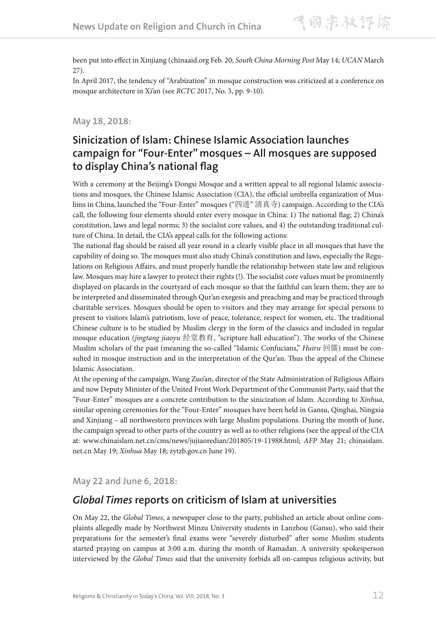been put into effect in Xinjiang (chinaaid.org Feb. 20; *South China Morning Post* May 14; *UCAN* March 27).

In April 2017, the tendency of "Arabization" in mosque construction was criticized at a conference on mosque architecture in Xi'an (see *RCTC* 2017, No. 3, pp. 9-10).

#### **May 18, 2018:**

### **Sinicization of Islam: Chinese Islamic Association launches campaign for "Four-Enter" mosques – All mosques are supposed to display China's national flag**

With a ceremony at the Beijing's Dongsi Mosque and a written appeal to all regional Islamic associations and mosques, the Chinese Islamic Association (CIA), the official umbrella organization of Muslims in China, launched the "Four-Enter" mosques ("四进" 清真寺) campaign. According to the CIA's call, the following four elements should enter every mosque in China: 1) The national flag; 2) China's constitution, laws and legal norms; 3) the socialist core values, and 4) the outstanding traditional culture of China. In detail, the CIA's appeal calls for the following actions:

The national flag should be raised all year round in a clearly visible place in all mosques that have the capability of doing so. The mosques must also study China's constitution and laws, especially the Regulations on Religious Affairs, and must properly handle the relationship between state law and religious law. Mosques may hire a lawyer to protect their rights (!). The socialist core values must be prominently displayed on placards in the courtyard of each mosque so that the faithful can learn them; they are to be interpreted and disseminated through Qur'an exegesis and preaching and may be practiced through charitable services. Mosques should be open to visitors and they may arrange for special persons to present to visitors Islam's patriotism, love of peace, tolerance, respect for women, etc. The traditional Chinese culture is to be studied by Muslim clergy in the form of the classics and included in regular mosque education (*jingtang jiaoyu* 经堂教育, "scripture hall education"). The works of the Chinese Muslim scholars of the past (meaning the so-called "Islamic Confucians," *Huiru* 回儒) must be consulted in mosque instruction and in the interpretation of the Qur'an. Thus the appeal of the Chinese Islamic Association.

At the opening of the campaign, Wang Zuo'an, director of the State Administration of Religious Affairs and now Deputy Minister of the United Front Work Department of the Communist Party, said that the "Four-Enter" mosques are a concrete contribution to the sinicization of Islam. According to *Xinhua*, similar opening ceremonies for the "Four-Enter" mosques have been held in Gansu, Qinghai, Ningxia and Xinjiang – all northwestern provinces with large Muslim populations. During the month of June, the campaign spread to other parts of the country as well as to other religions (see the appeal of the CIA at: www.chinaislam.net.cn/cms/news/jujiaoredian/201805/19-11988.html; *AFP* May 21; chinaislam. net.cn May 19; *Xinhua* May 18; zytzb.gov.cn June 19).

**May 22 and June 6, 2018:**

#### *Global Times* **reports on criticism of Islam at universities**

On May 22, the *Global Times*, a newspaper close to the party, published an article about online complaints allegedly made by Northwest Minzu University students in Lanzhou (Gansu), who said their preparations for the semester's final exams were "severely disturbed" after some Muslim students started praying on campus at 3:00 a.m. during the month of Ramadan. A university spokesperson interviewed by the *Global Times* said that the university forbids all on-campus religious activity, but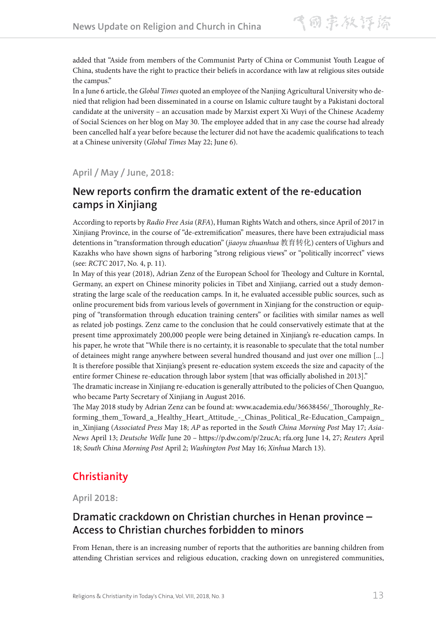added that "Aside from members of the Communist Party of China or Communist Youth League of China, students have the right to practice their beliefs in accordance with law at religious sites outside the campus."

In a June 6 article, the *Global Times* quoted an employee of the Nanjing Agricultural University who denied that religion had been disseminated in a course on Islamic culture taught by a Pakistani doctoral candidate at the university – an accusation made by Marxist expert Xi Wuyi of the Chinese Academy of Social Sciences on her blog on May 30. The employee added that in any case the course had already been cancelled half a year before because the lecturer did not have the academic qualifications to teach at a Chinese university (*Global Times* May 22; June 6).

**April / May / June, 2018:**

### **New reports confirm the dramatic extent of the re-education camps in Xinjiang**

According to reports by *Radio Free Asia* (*RFA*), Human Rights Watch and others, since April of 2017 in Xinjiang Province, in the course of "de-extremification" measures, there have been extrajudicial mass detentions in "transformation through education" (*jiaoyu zhuanhua* 教育转化) centers of Uighurs and Kazakhs who have shown signs of harboring "strong religious views" or "politically incorrect" views (see: *RCTC* 2017, No. 4, p. 11).

In May of this year (2018), Adrian Zenz of the European School for Theology and Culture in Korntal, Germany, an expert on Chinese minority policies in Tibet and Xinjiang, carried out a study demonstrating the large scale of the reeducation camps. In it, he evaluated accessible public sources, such as online procurement bids from various levels of government in Xinjiang for the construction or equipping of "transformation through education training centers" or facilities with similar names as well as related job postings. Zenz came to the conclusion that he could conservatively estimate that at the present time approximately 200,000 people were being detained in Xinjiang's re-education camps. In his paper, he wrote that "While there is no certainty, it is reasonable to speculate that the total number of detainees might range anywhere between several hundred thousand and just over one million [...] It is therefore possible that Xinjiang's present re-education system exceeds the size and capacity of the entire former Chinese re-education through labor system [that was officially abolished in 2013]."

The dramatic increase in Xinjiang re-education is generally attributed to the policies of Chen Quanguo, who became Party Secretary of Xinjiang in August 2016.

The May 2018 study by Adrian Zenz can be found at: www.academia.edu/36638456/\_Thoroughly\_Reforming\_them\_Toward\_a\_Healthy\_Heart\_Attitude\_-\_Chinas\_Political\_Re-Education\_Campaign\_ in\_Xinjiang (*Associated Press* May 18; *AP* as reported in the *South China Morning Post* May 17; *Asia-News* April 13; *Deutsche Welle* June 20 – https://p.dw.com/p/2zucA; rfa.org June 14, 27; *Reuters* April 18; *South China Morning Post* April 2; *Washington Post* May 16; *Xinhua* March 13).

## **Christianity**

**April 2018:**

### **Dramatic crackdown on Christian churches in Henan province – Access to Christian churches forbidden to minors**

From Henan, there is an increasing number of reports that the authorities are banning children from attending Christian services and religious education, cracking down on unregistered communities,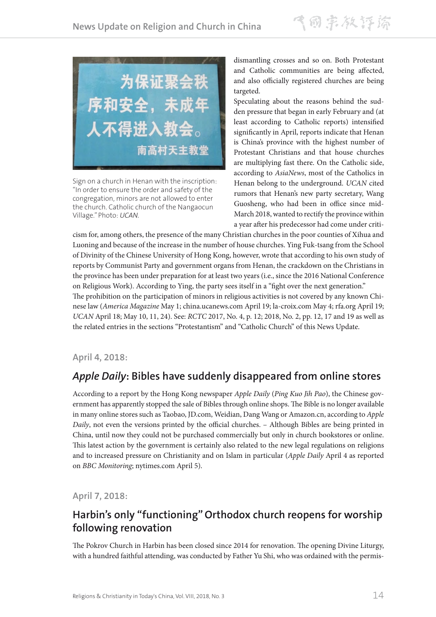

Sign on a church in Henan with the inscription: "In order to ensure the order and safety of the congregation, minors are not allowed to enter the church. Catholic church of the Nangaocun Village." Photo: *UCAN.*

dismantling crosses and so on. Both Protestant and Catholic communities are being affected, and also officially registered churches are being targeted.

Speculating about the reasons behind the sudden pressure that began in early February and (at least according to Catholic reports) intensified significantly in April, reports indicate that Henan is China's province with the highest number of Protestant Christians and that house churches are multiplying fast there. On the Catholic side, according to *AsiaNews*, most of the Catholics in Henan belong to the underground. *UCAN* cited rumors that Henan's new party secretary, Wang Guosheng, who had been in office since mid-March 2018, wanted to rectify the province within a year after his predecessor had come under criti-

cism for, among others, the presence of the many Christian churches in the poor counties of Xihua and Luoning and because of the increase in the number of house churches. Ying Fuk-tsang from the School of Divinity of the Chinese University of Hong Kong, however, wrote that according to his own study of reports by Communist Party and government organs from Henan, the crackdown on the Christians in the province has been under preparation for at least two years (i.e., since the 2016 National Conference on Religious Work). According to Ying, the party sees itself in a "fight over the next generation." The prohibition on the participation of minors in religious activities is not covered by any known Chinese law (*America Magazine* May 1; china.ucanews.com April 19; la-croix.com May 4; rfa.org April 19; *UCAN* April 18; May 10, 11, 24). See: *RCTC* 2017, No. 4, p. 12; 2018, No. 2, pp. 12, 17 and 19 as well as the related entries in the sections "Protestantism" and "Catholic Church" of this News Update.

#### **April 4, 2018:**

## *Apple Daily***: Bibles have suddenly disappeared from online stores**

According to a report by the Hong Kong newspaper *Apple Daily* (*Ping Kuo Jih Pao*), the Chinese government has apparently stopped the sale of Bibles through online shops. The Bible is no longer available in many online stores such as Taobao, JD.com, Weidian, Dang Wang or Amazon.cn, according to *Apple Daily*, not even the versions printed by the official churches. – Although Bibles are being printed in China, until now they could not be purchased commercially but only in church bookstores or online. This latest action by the government is certainly also related to the new legal regulations on religions and to increased pressure on Christianity and on Islam in particular (*Apple Daily* April 4 as reported on *BBC Monitoring*; nytimes.com April 5).

**April 7, 2018:**

## **Harbin's only "functioning" Orthodox church reopens for worship following renovation**

The Pokrov Church in Harbin has been closed since 2014 for renovation. The opening Divine Liturgy, with a hundred faithful attending, was conducted by Father Yu Shi, who was ordained with the permis-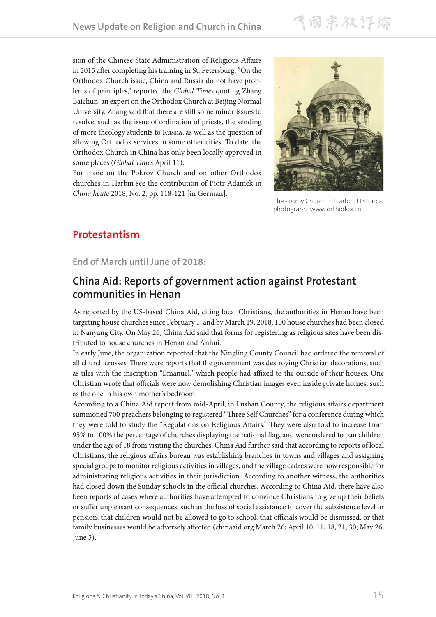飞同宗教评谛

sion of the Chinese State Administration of Religious Affairs in 2015 after completing his training in St. Petersburg. "On the Orthodox Church issue, China and Russia do not have problems of principles," reported the *Global Times* quoting Zhang Baichun, an expert on the Orthodox Church at Beijing Normal University. Zhang said that there are still some minor issues to resolve, such as the issue of ordination of priests, the sending of more theology students to Russia, as well as the question of allowing Orthodox services in some other cities. To date, the Orthodox Church in China has only been locally approved in some places (*Global Times* April 11).

For more on the Pokrov Church and on other Orthodox churches in Harbin see the contribution of Piotr Adamek in *China heute* 2018, No. 2, pp. 118-121 [in German].



The Pokrov Church in Harbin. Historical photograph: www.orthodox.cn.

### **Protestantism**

**End of March until June of 2018:**

#### **China Aid: Reports of government action against Protestant communities in Henan**

As reported by the US-based China Aid, citing local Christians, the authorities in Henan have been targeting house churches since February 1, and by March 19, 2018, 100 house churches had been closed in Nanyang City. On May 26, China Aid said that forms for registering as religious sites have been distributed to house churches in Henan and Anhui.

In early June, the organization reported that the Ningling County Council had ordered the removal of all church crosses. There were reports that the government was destroying Christian decorations, such as tiles with the inscription "Emanuel," which people had affixed to the outside of their houses. One Christian wrote that officials were now demolishing Christian images even inside private homes, such as the one in his own mother's bedroom.

According to a China Aid report from mid-April, in Lushan County, the religious affairs department summoned 700 preachers belonging to registered "Three Self Churches" for a conference during which they were told to study the "Regulations on Religious Affairs." They were also told to increase from 95% to 100% the percentage of churches displaying the national flag, and were ordered to ban children under the age of 18 from visiting the churches. China Aid further said that according to reports of local Christians, the religious affairs bureau was establishing branches in towns and villages and assigning special groups to monitor religious activities in villages, and the village cadres were now responsible for administrating religious activities in their jurisdiction. According to another witness, the authorities had closed down the Sunday schools in the official churches. According to China Aid, there have also been reports of cases where authorities have attempted to convince Christians to give up their beliefs or suffer unpleasant consequences, such as the loss of social assistance to cover the subsistence level or pension, that children would not be allowed to go to school, that officials would be dismissed, or that family businesses would be adversely affected (chinaaid.org March 26; April 10, 11, 18, 21, 30; May 26; June 3).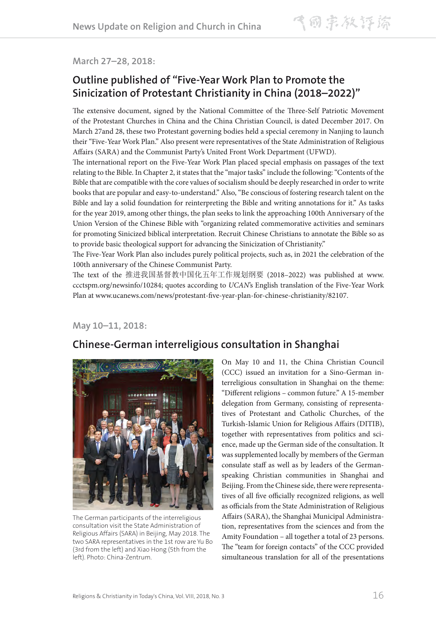#### **March 27–28, 2018:**

### **Outline published of "Five-Year Work Plan to Promote the Sinicization of Protestant Christianity in China (2018–2022)"**

The extensive document, signed by the National Committee of the Three-Self Patriotic Movement of the Protestant Churches in China and the China Christian Council, is dated December 2017. On March 27and 28, these two Protestant governing bodies held a special ceremony in Nanjing to launch their "Five-Year Work Plan." Also present were representatives of the State Administration of Religious Affairs (SARA) and the Communist Party's United Front Work Department (UFWD).

The international report on the Five-Year Work Plan placed special emphasis on passages of the text relating to the Bible. In Chapter 2, it states that the "major tasks" include the following: "Contents of the Bible that are compatible with the core values of socialism should be deeply researched in order to write books that are popular and easy-to-understand." Also, "Be conscious of fostering research talent on the Bible and lay a solid foundation for reinterpreting the Bible and writing annotations for it." As tasks for the year 2019, among other things, the plan seeks to link the approaching 100th Anniversary of the Union Version of the Chinese Bible with "organizing related commemorative activities and seminars for promoting Sinicized biblical interpretation. Recruit Chinese Christians to annotate the Bible so as to provide basic theological support for advancing the Sinicization of Christianity."

The Five-Year Work Plan also includes purely political projects, such as, in 2021 the celebration of the 100th anniversary of the Chinese Communist Party.

The text of the 推进我国基督教中国化五年工作规划纲要 (2018–2022) was published at www. ccctspm.org/newsinfo/10284; quotes according to *UCAN*'s English translation of the Five-Year Work Plan at www.ucanews.com/news/protestant-five-year-plan-for-chinese-christianity/82107.

**May 10–11, 2018:**

## **Chinese-German interreligious consultation in Shanghai**



The German participants of the interreligious consultation visit the State Administration of Religious Affairs (SARA) in Beijing, May 2018. The two SARA representatives in the 1st row are Yu Bo (3rd from the left) and Xiao Hong (5th from the left). Photo: China-Zentrum.

On May 10 and 11, the China Christian Council (CCC) issued an invitation for a Sino-German interreligious consultation in Shanghai on the theme: "Different religions – common future." A 15-member delegation from Germany, consisting of representatives of Protestant and Catholic Churches, of the Turkish-Islamic Union for Religious Affairs (DITIB), together with representatives from politics and science, made up the German side of the consultation. It was supplemented locally by members of the German consulate staff as well as by leaders of the Germanspeaking Christian communities in Shanghai and Beijing. From the Chinese side, there were representatives of all five officially recognized religions, as well as officials from the State Administration of Religious Affairs (SARA), the Shanghai Municipal Administration, representatives from the sciences and from the Amity Foundation – all together a total of 23 persons. The "team for foreign contacts" of the CCC provided simultaneous translation for all of the presentations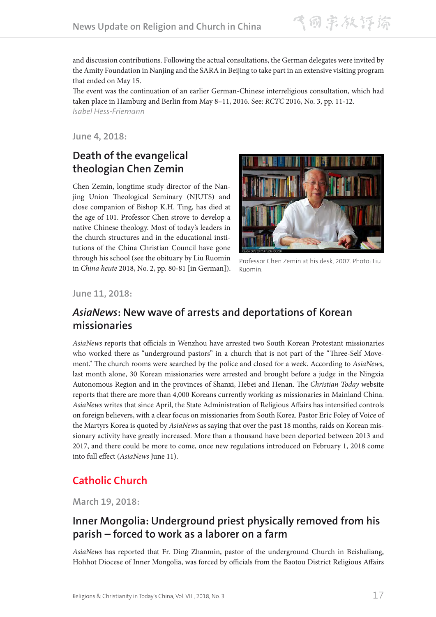飞同宗教评除

and discussion contributions. Following the actual consultations, the German delegates were invited by the Amity Foundation in Nanjing and the SARA in Beijing to take part in an extensive visiting program that ended on May 15.

The event was the continuation of an earlier German-Chinese interreligious consultation, which had taken place in Hamburg and Berlin from May 8–11, 2016. See: *RCTC* 2016, No. 3, pp. 11-12. *Isabel Hess-Friemann*

**June 4, 2018:**

### **Death of the evangelical theologian Chen Zemin**

Chen Zemin, longtime study director of the Nanjing Union Theological Seminary (NJUTS) and close companion of Bishop K.H. Ting, has died at the age of 101. Professor Chen strove to develop a native Chinese theology. Most of today's leaders in the church structures and in the educational institutions of the China Christian Council have gone through his school (see the obituary by Liu Ruomin in *China heute* 2018, No. 2, pp. 80-81 [in German]).



Professor Chen Zemin at his desk, 2007. Photo: Liu Ruomin.

**June 11, 2018:**

#### *AsiaNews***: New wave of arrests and deportations of Korean missionaries**

*AsiaNews* reports that officials in Wenzhou have arrested two South Korean Protestant missionaries who worked there as "underground pastors" in a church that is not part of the "Three-Self Movement." The church rooms were searched by the police and closed for a week. According to *AsiaNews*, last month alone, 30 Korean missionaries were arrested and brought before a judge in the Ningxia Autonomous Region and in the provinces of Shanxi, Hebei and Henan. The *Christian Today* website reports that there are more than 4,000 Koreans currently working as missionaries in Mainland China. *AsiaNews* writes that since April, the State Administration of Religious Affairs has intensified controls on foreign believers, with a clear focus on missionaries from South Korea. Pastor Eric Foley of Voice of the Martyrs Korea is quoted by *AsiaNews* as saying that over the past 18 months, raids on Korean missionary activity have greatly increased. More than a thousand have been deported between 2013 and 2017, and there could be more to come, once new regulations introduced on February 1, 2018 come into full effect (*AsiaNews* June 11).

## **Catholic Church**

**March 19, 2018:**

### **Inner Mongolia: Underground priest physically removed from his parish – forced to work as a laborer on a farm**

*AsiaNews* has reported that Fr. Ding Zhanmin, pastor of the underground Church in Beishaliang, Hohhot Diocese of Inner Mongolia, was forced by officials from the Baotou District Religious Affairs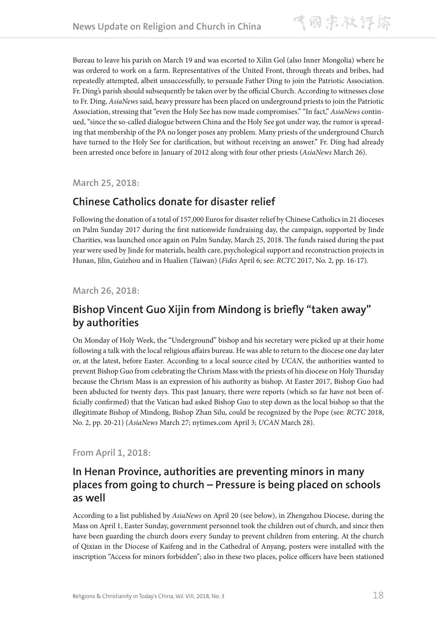Bureau to leave his parish on March 19 and was escorted to Xilin Gol (also Inner Mongolia) where he was ordered to work on a farm. Representatives of the United Front, through threats and bribes, had repeatedly attempted, albeit unsuccessfully, to persuade Father Ding to join the Patriotic Association. Fr. Ding's parish should subsequently be taken over by the official Church. According to witnesses close to Fr. Ding, *AsiaNews* said, heavy pressure has been placed on underground priests to join the Patriotic Association, stressing that "even the Holy See has now made compromises." "In fact," *AsiaNews* continued, "since the so-called dialogue between China and the Holy See got under way, the rumor is spreading that membership of the PA no longer poses any problem. Many priests of the underground Church have turned to the Holy See for clarification, but without receiving an answer." Fr. Ding had already been arrested once before in January of 2012 along with four other priests (*AsiaNews* March 26).

**March 25, 2018:**

### **Chinese Catholics donate for disaster relief**

Following the donation of a total of 157,000 Euros for disaster relief by Chinese Catholics in 21 dioceses on Palm Sunday 2017 during the first nationwide fundraising day, the campaign, supported by Jinde Charities, was launched once again on Palm Sunday, March 25, 2018. The funds raised during the past year were used by Jinde for materials, health care, psychological support and reconstruction projects in Hunan, Jilin, Guizhou and in Hualien (Taiwan) (*Fides* April 6; see: *RCTC* 2017, No. 2, pp. 16-17).

#### **March 26, 2018:**

## **Bishop Vincent Guo Xijin from Mindong is briefly "taken away" by authorities**

On Monday of Holy Week, the "Underground" bishop and his secretary were picked up at their home following a talk with the local religious affairs bureau. He was able to return to the diocese one day later or, at the latest, before Easter. According to a local source cited by *UCAN*, the authorities wanted to prevent Bishop Guo from celebrating the Chrism Mass with the priests of his diocese on Holy Thursday because the Chrism Mass is an expression of his authority as bishop. At Easter 2017, Bishop Guo had been abducted for twenty days. This past January, there were reports (which so far have not been officially confirmed) that the Vatican had asked Bishop Guo to step down as the local bishop so that the illegitimate Bishop of Mindong, Bishop Zhan Silu, could be recognized by the Pope (see: *RCTC* 2018, No. 2, pp. 20-21) (*AsiaNews* March 27; nytimes.com April 3; *UCAN* March 28).

#### **From April 1, 2018:**

#### **In Henan Province, authorities are preventing minors in many places from going to church – Pressure is being placed on schools as well**

According to a list published by *AsiaNews* on April 20 (see below), in Zhengzhou Diocese, during the Mass on April 1, Easter Sunday, government personnel took the children out of church, and since then have been guarding the church doors every Sunday to prevent children from entering. At the church of Qixian in the Diocese of Kaifeng and in the Cathedral of Anyang, posters were installed with the inscription "Access for minors forbidden"; also in these two places, police officers have been stationed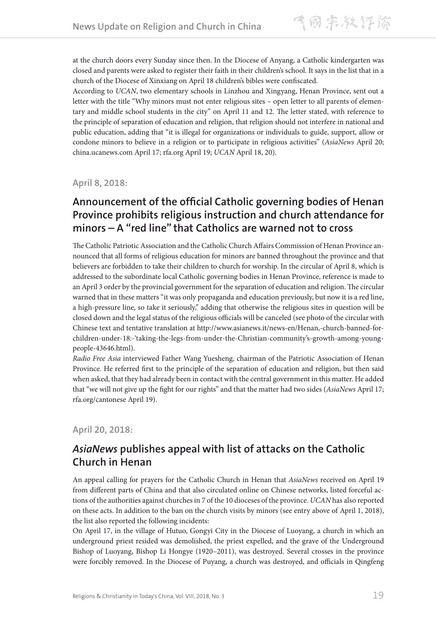at the church doors every Sunday since then. In the Diocese of Anyang, a Catholic kindergarten was closed and parents were asked to register their faith in their children's school. It says in the list that in a church of the Diocese of Xinxiang on April 18 children's bibles were confiscated.

According to *UCAN*, two elementary schools in Linzhou and Xingyang, Henan Province, sent out a letter with the title "Why minors must not enter religious sites – open letter to all parents of elementary and middle school students in the city" on April 11 and 12. The letter stated, with reference to the principle of separation of education and religion, that religion should not interfere in national and public education, adding that "it is illegal for organizations or individuals to guide, support, allow or condone minors to believe in a religion or to participate in religious activities" (*AsiaNews* April 20; china.ucanews.com April 17; rfa.org April 19; *UCAN* April 18, 20).

**April 8, 2018:**

### **Announcement of the official Catholic governing bodies of Henan Province prohibits religious instruction and church attendance for minors – A "red line" that Catholics are warned not to cross**

The Catholic Patriotic Association and the Catholic Church Affairs Commission of Henan Province announced that all forms of religious education for minors are banned throughout the province and that believers are forbidden to take their children to church for worship. In the circular of April 8, which is addressed to the subordinate local Catholic governing bodies in Henan Province, reference is made to an April 3 order by the provincial government for the separation of education and religion. The circular warned that in these matters "it was only propaganda and education previously, but now it is a red line, a high-pressure line, so take it seriously," adding that otherwise the religious sites in question will be closed down and the legal status of the religious officials will be canceled (see photo of the circular with Chinese text and tentative translation at http://www.asianews.it/news-en/Henan,-church-banned-forchildren-under-18:-'taking-the-legs-from-under-the-Christian-community's-growth-among-youngpeople-43646.html).

*Radio Free Asia* interviewed Father Wang Yuesheng, chairman of the Patriotic Association of Henan Province. He referred first to the principle of the separation of education and religion, but then said when asked, that they had already been in contact with the central government in this matter. He added that "we will not give up the fight for our rights" and that the matter had two sides (*AsiaNews* April 17; rfa.org/cantonese April 19).

**April 20, 2018:**

## *AsiaNews* **publishes appeal with list of attacks on the Catholic Church in Henan**

An appeal calling for prayers for the Catholic Church in Henan that *AsiaNews* received on April 19 from different parts of China and that also circulated online on Chinese networks, listed forceful actions of the authorities against churches in 7 of the 10 dioceses of the province. *UCAN* has also reported on these acts. In addition to the ban on the church visits by minors (see entry above of April 1, 2018), the list also reported the following incidents:

On April 17, in the village of Hutuo, Gongyi City in the Diocese of Luoyang, a church in which an underground priest resided was demolished, the priest expelled, and the grave of the Underground Bishop of Luoyang, Bishop Li Hongye (1920–2011), was destroyed. Several crosses in the province were forcibly removed. In the Diocese of Puyang, a church was destroyed, and officials in Qingfeng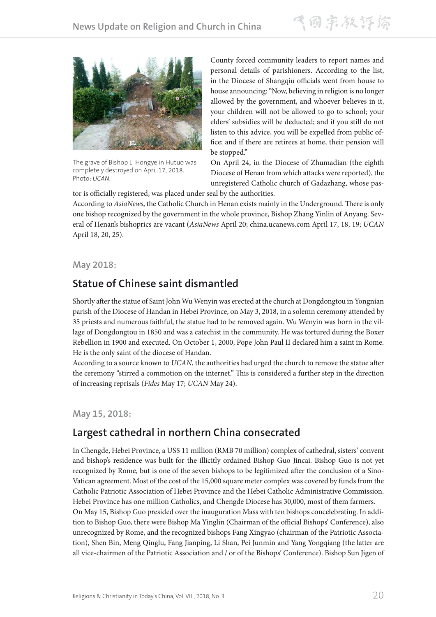飞雨宗教评谛



The grave of Bishop Li Hongye in Hutuo was completely destroyed on April 17, 2018. Photo: *UCAN*.

County forced community leaders to report names and personal details of parishioners. According to the list, in the Diocese of Shangqiu officials went from house to house announcing: "Now, believing in religion is no longer allowed by the government, and whoever believes in it, your children will not be allowed to go to school; your elders' subsidies will be deducted; and if you still do not listen to this advice, you will be expelled from public office; and if there are retirees at home, their pension will be stopped."

On April 24, in the Diocese of Zhumadian (the eighth Diocese of Henan from which attacks were reported), the unregistered Catholic church of Gadazhang, whose pas-

tor is officially registered, was placed under seal by the authorities.

According to *AsiaNews*, the Catholic Church in Henan exists mainly in the Underground. There is only one bishop recognized by the government in the whole province, Bishop Zhang Yinlin of Anyang. Several of Henan's bishoprics are vacant (*AsiaNews* April 20; china.ucanews.com April 17, 18, 19; *UCAN* April 18, 20, 25).

#### **May 2018:**

#### **Statue of Chinese saint dismantled**

Shortly after the statue of Saint John Wu Wenyin was erected at the church at Dongdongtou in Yongnian parish of the Diocese of Handan in Hebei Province, on May 3, 2018, in a solemn ceremony attended by 35 priests and numerous faithful, the statue had to be removed again. Wu Wenyin was born in the village of Dongdongtou in 1850 and was a catechist in the community. He was tortured during the Boxer Rebellion in 1900 and executed. On October 1, 2000, Pope John Paul II declared him a saint in Rome. He is the only saint of the diocese of Handan.

According to a source known to *UCAN*, the authorities had urged the church to remove the statue after the ceremony "stirred a commotion on the internet." This is considered a further step in the direction of increasing reprisals (*Fides* May 17; *UCAN* May 24).

**May 15, 2018:**

#### **Largest cathedral in northern China consecrated**

In Chengde, Hebei Province, a US\$ 11 million (RMB 70 million) complex of cathedral, sisters' convent and bishop's residence was built for the illicitly ordained Bishop Guo Jincai. Bishop Guo is not yet recognized by Rome, but is one of the seven bishops to be legitimized after the conclusion of a Sino-Vatican agreement. Most of the cost of the 15,000 square meter complex was covered by funds from the Catholic Patriotic Association of Hebei Province and the Hebei Catholic Administrative Commission. Hebei Province has one million Catholics, and Chengde Diocese has 30,000, most of them farmers. On May 15, Bishop Guo presided over the inauguration Mass with ten bishops concelebrating. In addi-

tion to Bishop Guo, there were Bishop Ma Yinglin (Chairman of the official Bishops' Conference), also unrecognized by Rome, and the recognized bishops Fang Xingyao (chairman of the Patriotic Association), Shen Bin, Meng Qinglu, Fang Jianping, Li Shan, Pei Junmin and Yang Yongqiang (the latter are all vice-chairmen of the Patriotic Association and / or of the Bishops' Conference). Bishop Sun Jigen of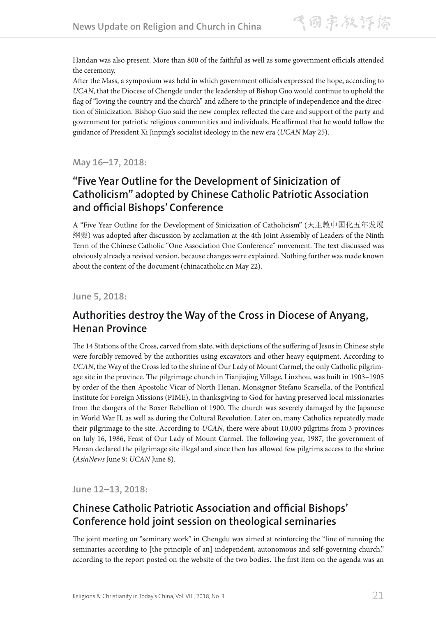Handan was also present. More than 800 of the faithful as well as some government officials attended the ceremony.

After the Mass, a symposium was held in which government officials expressed the hope, according to *UCAN*, that the Diocese of Chengde under the leadership of Bishop Guo would continue to uphold the flag of "loving the country and the church" and adhere to the principle of independence and the direction of Sinicization. Bishop Guo said the new complex reflected the care and support of the party and government for patriotic religious communities and individuals. He affirmed that he would follow the guidance of President Xi Jinping's socialist ideology in the new era (*UCAN* May 25).

**May 16–17, 2018:**

## **"Five Year Outline for the Development of Sinicization of Catholicism" adopted by Chinese Catholic Patriotic Association and official Bishops' Conference**

A "Five Year Outline for the Development of Sinicization of Catholicism" (天主教中国化五年发展 纲要) was adopted after discussion by acclamation at the 4th Joint Assembly of Leaders of the Ninth Term of the Chinese Catholic "One Association One Conference" movement. The text discussed was obviously already a revised version, because changes were explained. Nothing further was made known about the content of the document (chinacatholic.cn May 22).

**June 5, 2018:**

## **Authorities destroy the Way of the Cross in Diocese of Anyang, Henan Province**

The 14 Stations of the Cross, carved from slate, with depictions of the suffering of Jesus in Chinese style were forcibly removed by the authorities using excavators and other heavy equipment. According to *UCAN*, the Way of the Cross led to the shrine of Our Lady of Mount Carmel, the only Catholic pilgrimage site in the province. The pilgrimage church in Tianjiajing Village, Linzhou, was built in 1903–1905 by order of the then Apostolic Vicar of North Henan, Monsignor Stefano Scarsella, of the Pontifical Institute for Foreign Missions (PIME), in thanksgiving to God for having preserved local missionaries from the dangers of the Boxer Rebellion of 1900. The church was severely damaged by the Japanese in World War II, as well as during the Cultural Revolution. Later on, many Catholics repeatedly made their pilgrimage to the site. According to *UCAN*, there were about 10,000 pilgrims from 3 provinces on July 16, 1986, Feast of Our Lady of Mount Carmel. The following year, 1987, the government of Henan declared the pilgrimage site illegal and since then has allowed few pilgrims access to the shrine (*AsiaNews* June 9; *UCAN* June 8).

**June 12–13, 2018:**

### **Chinese Catholic Patriotic Association and official Bishops' Conference hold joint session on theological seminaries**

The joint meeting on "seminary work" in Chengdu was aimed at reinforcing the "line of running the seminaries according to [the principle of an] independent, autonomous and self-governing church," according to the report posted on the website of the two bodies. The first item on the agenda was an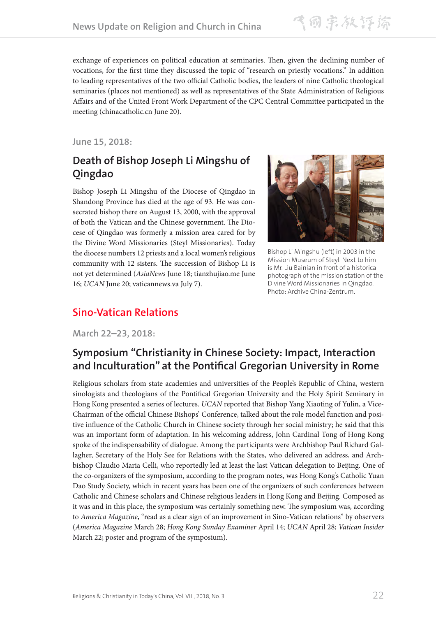飞雨宗教评谛

exchange of experiences on political education at seminaries. Then, given the declining number of vocations, for the first time they discussed the topic of "research on priestly vocations." In addition to leading representatives of the two official Catholic bodies, the leaders of nine Catholic theological seminaries (places not mentioned) as well as representatives of the State Administration of Religious Affairs and of the United Front Work Department of the CPC Central Committee participated in the meeting (chinacatholic.cn June 20).

#### **June 15, 2018:**

## **Death of Bishop Joseph Li Mingshu of Qingdao**

Bishop Joseph Li Mingshu of the Diocese of Qingdao in Shandong Province has died at the age of 93. He was consecrated bishop there on August 13, 2000, with the approval of both the Vatican and the Chinese government. The Diocese of Qingdao was formerly a mission area cared for by the Divine Word Missionaries (Steyl Missionaries). Today the diocese numbers 12 priests and a local women's religious community with 12 sisters. The succession of Bishop Li is not yet determined (*AsiaNews* June 18; tianzhujiao.me June 16; *UCAN* June 20; vaticannews.va July 7).



Bishop Li Mingshu (left) in 2003 in the Mission Museum of Steyl. Next to him is Mr. Liu Bainian in front of a historical photograph of the mission station of the Divine Word Missionaries in Qingdao. Photo: Archive China-Zentrum.

#### **Sino-Vatican Relations**

**March 22–23, 2018:**

## **Symposium "Christianity in Chinese Society: Impact, Interaction and Inculturation" at the Pontifical Gregorian University in Rome**

Religious scholars from state academies and universities of the People's Republic of China, western sinologists and theologians of the Pontifical Gregorian University and the Holy Spirit Seminary in Hong Kong presented a series of lectures. *UCAN* reported that Bishop Yang Xiaoting of Yulin, a Vice-Chairman of the official Chinese Bishops' Conference, talked about the role model function and positive influence of the Catholic Church in Chinese society through her social ministry; he said that this was an important form of adaptation. In his welcoming address, John Cardinal Tong of Hong Kong spoke of the indispensability of dialogue. Among the participants were Archbishop Paul Richard Gallagher, Secretary of the Holy See for Relations with the States, who delivered an address, and Archbishop Claudio Maria Celli, who reportedly led at least the last Vatican delegation to Beijing. One of the co-organizers of the symposium, according to the program notes, was Hong Kong's Catholic Yuan Dao Study Society, which in recent years has been one of the organizers of such conferences between Catholic and Chinese scholars and Chinese religious leaders in Hong Kong and Beijing. Composed as it was and in this place, the symposium was certainly something new. The symposium was, according to *America Magazine*, "read as a clear sign of an improvement in Sino-Vatican relations" by observers (*America Magazine* March 28; *Hong Kong Sunday Examiner* April 14; *UCAN* April 28; *Vatican Insider* March 22; poster and program of the symposium).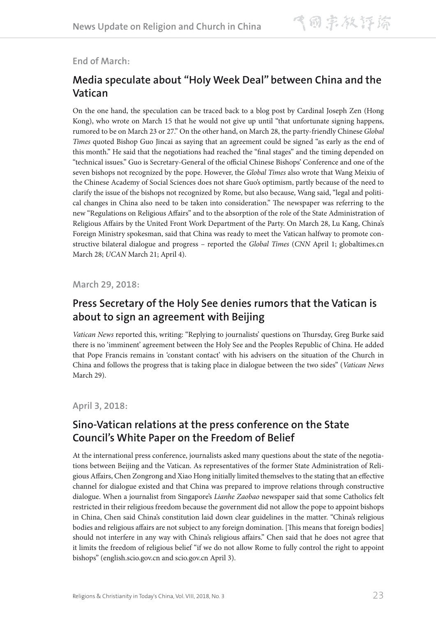#### **End of March:**

### **Media speculate about "Holy Week Deal" between China and the Vatican**

On the one hand, the speculation can be traced back to a blog post by Cardinal Joseph Zen (Hong Kong), who wrote on March 15 that he would not give up until "that unfortunate signing happens, rumored to be on March 23 or 27." On the other hand, on March 28, the party-friendly Chinese *Global Times* quoted Bishop Guo Jincai as saying that an agreement could be signed "as early as the end of this month." He said that the negotiations had reached the "final stages" and the timing depended on "technical issues." Guo is Secretary-General of the official Chinese Bishops' Conference and one of the seven bishops not recognized by the pope. However, the *Global Times* also wrote that Wang Meixiu of the Chinese Academy of Social Sciences does not share Guo's optimism, partly because of the need to clarify the issue of the bishops not recognized by Rome, but also because, Wang said, "legal and political changes in China also need to be taken into consideration." The newspaper was referring to the new "Regulations on Religious Affairs" and to the absorption of the role of the State Administration of Religious Affairs by the United Front Work Department of the Party. On March 28, Lu Kang, China's Foreign Ministry spokesman, said that China was ready to meet the Vatican halfway to promote constructive bilateral dialogue and progress – reported the *Global Times* (*CNN* April 1; globaltimes.cn March 28; *UCAN* March 21; April 4).

**March 29, 2018:**

#### **Press Secretary of the Holy See denies rumors that the Vatican is about to sign an agreement with Beijing**

*Vatican News* reported this, writing: "Replying to journalists' questions on Thursday, Greg Burke said there is no 'imminent' agreement between the Holy See and the Peoples Republic of China. He added that Pope Francis remains in 'constant contact' with his advisers on the situation of the Church in China and follows the progress that is taking place in dialogue between the two sides" (*Vatican News* March 29).

**April 3, 2018:**

#### **Sino-Vatican relations at the press conference on the State Council's White Paper on the Freedom of Belief**

At the international press conference, journalists asked many questions about the state of the negotiations between Beijing and the Vatican. As representatives of the former State Administration of Religious Affairs, Chen Zongrong and Xiao Hong initially limited themselves to the stating that an effective channel for dialogue existed and that China was prepared to improve relations through constructive dialogue. When a journalist from Singapore's *Lianhe Zaobao* newspaper said that some Catholics felt restricted in their religious freedom because the government did not allow the pope to appoint bishops in China, Chen said China's constitution laid down clear guidelines in the matter. "China's religious bodies and religious affairs are not subject to any foreign domination. [This means that foreign bodies] should not interfere in any way with China's religious affairs." Chen said that he does not agree that it limits the freedom of religious belief "if we do not allow Rome to fully control the right to appoint bishops" (english.scio.gov.cn and scio.gov.cn April 3).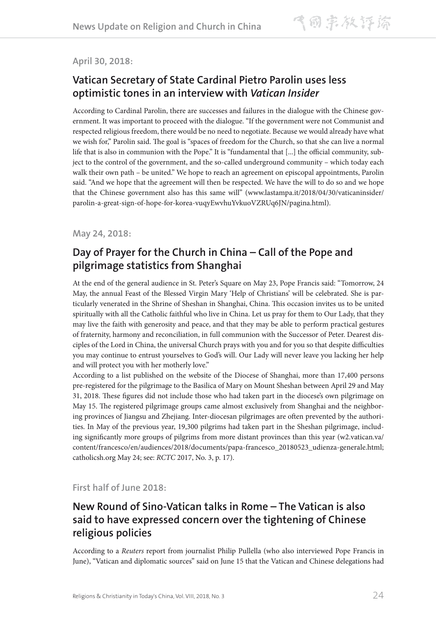#### **April 30, 2018:**

### **Vatican Secretary of State Cardinal Pietro Parolin uses less optimistic tones in an interview with** *Vatican Insider*

According to Cardinal Parolin, there are successes and failures in the dialogue with the Chinese government. It was important to proceed with the dialogue. "If the government were not Communist and respected religious freedom, there would be no need to negotiate. Because we would already have what we wish for," Parolin said. The goal is "spaces of freedom for the Church, so that she can live a normal life that is also in communion with the Pope." It is "fundamental that [...] the official community, subject to the control of the government, and the so-called underground community – which today each walk their own path – be united." We hope to reach an agreement on episcopal appointments, Parolin said. "And we hope that the agreement will then be respected. We have the will to do so and we hope that the Chinese government also has this same will" (www.lastampa.it/2018/04/30/vaticaninsider/ parolin-a-great-sign-of-hope-for-korea-vuqyEwvhuYvkuoVZRUq6JN/pagina.html).

#### **May 24, 2018:**

### **Day of Prayer for the Church in China – Call of the Pope and pilgrimage statistics from Shanghai**

At the end of the general audience in St. Peter's Square on May 23, Pope Francis said: "Tomorrow, 24 May, the annual Feast of the Blessed Virgin Mary 'Help of Christians' will be celebrated. She is particularly venerated in the Shrine of Sheshan in Shanghai, China. This occasion invites us to be united spiritually with all the Catholic faithful who live in China. Let us pray for them to Our Lady, that they may live the faith with generosity and peace, and that they may be able to perform practical gestures of fraternity, harmony and reconciliation, in full communion with the Successor of Peter. Dearest disciples of the Lord in China, the universal Church prays with you and for you so that despite difficulties you may continue to entrust yourselves to God's will. Our Lady will never leave you lacking her help and will protect you with her motherly love."

According to a list published on the website of the Diocese of Shanghai, more than 17,400 persons pre-registered for the pilgrimage to the Basilica of Mary on Mount Sheshan between April 29 and May 31, 2018. These figures did not include those who had taken part in the diocese's own pilgrimage on May 15. The registered pilgrimage groups came almost exclusively from Shanghai and the neighboring provinces of Jiangsu and Zhejiang. Inter-diocesan pilgrimages are often prevented by the authorities. In May of the previous year, 19,300 pilgrims had taken part in the Sheshan pilgrimage, including significantly more groups of pilgrims from more distant provinces than this year (w2.vatican.va/ content/francesco/en/audiences/2018/documents/papa-francesco\_20180523\_udienza-generale.html; catholicsh.org May 24; see: *RCTC* 2017, No. 3, p. 17).

#### **First half of June 2018:**

#### **New Round of Sino-Vatican talks in Rome – The Vatican is also said to have expressed concern over the tightening of Chinese religious policies**

According to a *Reuters* report from journalist Philip Pullella (who also interviewed Pope Francis in June), "Vatican and diplomatic sources" said on June 15 that the Vatican and Chinese delegations had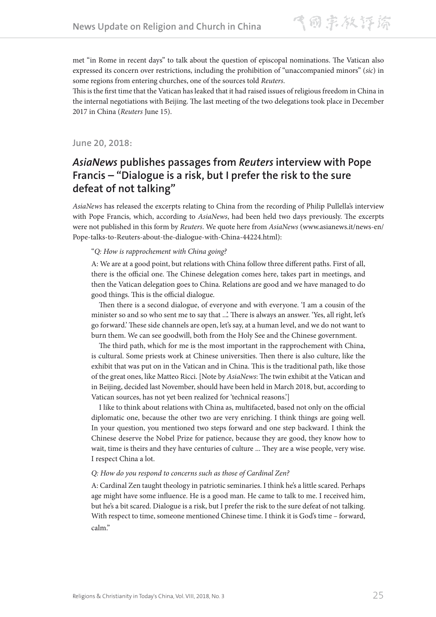met "in Rome in recent days" to talk about the question of episcopal nominations. The Vatican also expressed its concern over restrictions, including the prohibition of "unaccompanied minors" (*sic*) in some regions from entering churches, one of the sources told *Reuters*.

This is the first time that the Vatican has leaked that it had raised issues of religious freedom in China in the internal negotiations with Beijing. The last meeting of the two delegations took place in December 2017 in China (*Reuters* June 15).

**June 20, 2018:**

### *AsiaNews* **publishes passages from** *Reuters* **interview with Pope Francis – "Dialogue is a risk, but I prefer the risk to the sure defeat of not talking"**

*AsiaNews* has released the excerpts relating to China from the recording of Philip Pullella's interview with Pope Francis, which, according to *AsiaNews*, had been held two days previously. The excerpts were not published in this form by *Reuters*. We quote here from *AsiaNews* (www.asianews.it/news-en/ Pope-talks-to-Reuters-about-the-dialogue-with-China-44224.html):

#### "*Q: How is rapprochement with China going?*

A: We are at a good point, but relations with China follow three different paths. First of all, there is the official one. The Chinese delegation comes here, takes part in meetings, and then the Vatican delegation goes to China. Relations are good and we have managed to do good things. This is the official dialogue.

Then there is a second dialogue, of everyone and with everyone. 'I am a cousin of the minister so and so who sent me to say that ...'. There is always an answer. 'Yes, all right, let's go forward.' These side channels are open, let's say, at a human level, and we do not want to burn them. We can see goodwill, both from the Holy See and the Chinese government.

The third path, which for me is the most important in the rapprochement with China, is cultural. Some priests work at Chinese universities. Then there is also culture, like the exhibit that was put on in the Vatican and in China. This is the traditional path, like those of the great ones, like Matteo Ricci. [Note by *AsiaNews*: The twin exhibit at the Vatican and in Beijing, decided last November, should have been held in March 2018, but, according to Vatican sources, has not yet been realized for 'technical reasons.']

I like to think about relations with China as, multifaceted, based not only on the official diplomatic one, because the other two are very enriching. I think things are going well. In your question, you mentioned two steps forward and one step backward. I think the Chinese deserve the Nobel Prize for patience, because they are good, they know how to wait, time is theirs and they have centuries of culture ... They are a wise people, very wise. I respect China a lot.

#### *Q: How do you respond to concerns such as those of Cardinal Zen?*

A: Cardinal Zen taught theology in patriotic seminaries. I think he's a little scared. Perhaps age might have some influence. He is a good man. He came to talk to me. I received him, but he's a bit scared. Dialogue is a risk, but I prefer the risk to the sure defeat of not talking. With respect to time, someone mentioned Chinese time. I think it is God's time – forward, calm."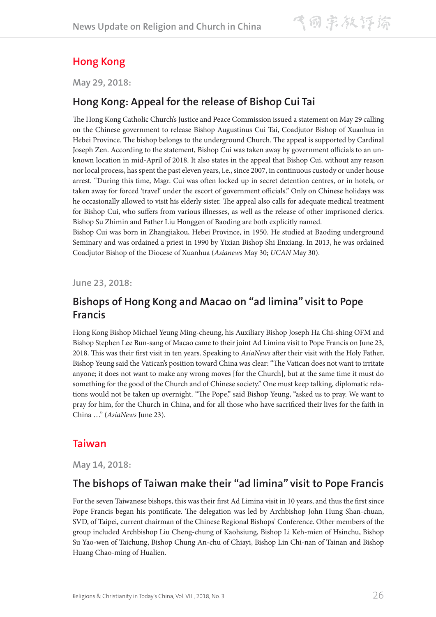## **Hong Kong**

**May 29, 2018:**

#### **Hong Kong: Appeal for the release of Bishop Cui Tai**

The Hong Kong Catholic Church's Justice and Peace Commission issued a statement on May 29 calling on the Chinese government to release Bishop Augustinus Cui Tai, Coadjutor Bishop of Xuanhua in Hebei Province. The bishop belongs to the underground Church. The appeal is supported by Cardinal Joseph Zen. According to the statement, Bishop Cui was taken away by government officials to an unknown location in mid-April of 2018. It also states in the appeal that Bishop Cui, without any reason nor local process, has spent the past eleven years, i.e., since 2007, in continuous custody or under house arrest. "During this time, Msgr. Cui was often locked up in secret detention centres, or in hotels, or taken away for forced 'travel' under the escort of government officials." Only on Chinese holidays was he occasionally allowed to visit his elderly sister. The appeal also calls for adequate medical treatment for Bishop Cui, who suffers from various illnesses, as well as the release of other imprisoned clerics. Bishop Su Zhimin and Father Liu Honggen of Baoding are both explicitly named.

Bishop Cui was born in Zhangjiakou, Hebei Province, in 1950. He studied at Baoding underground Seminary and was ordained a priest in 1990 by Yixian Bishop Shi Enxiang. In 2013, he was ordained Coadjutor Bishop of the Diocese of Xuanhua (*Asianews* May 30; *UCAN* May 30).

**June 23, 2018:**

#### **Bishops of Hong Kong and Macao on "ad limina" visit to Pope Francis**

Hong Kong Bishop Michael Yeung Ming-cheung, his Auxiliary Bishop Joseph Ha Chi-shing OFM and Bishop Stephen Lee Bun-sang of Macao came to their joint Ad Limina visit to Pope Francis on June 23, 2018. This was their first visit in ten years. Speaking to *AsiaNews* after their visit with the Holy Father, Bishop Yeung said the Vatican's position toward China was clear: "The Vatican does not want to irritate anyone; it does not want to make any wrong moves [for the Church], but at the same time it must do something for the good of the Church and of Chinese society." One must keep talking, diplomatic relations would not be taken up overnight. "The Pope," said Bishop Yeung, "asked us to pray. We want to pray for him, for the Church in China, and for all those who have sacrificed their lives for the faith in China …" (*AsiaNews* June 23).

#### **Taiwan**

**May 14, 2018:**

#### **The bishops of Taiwan make their "ad limina" visit to Pope Francis**

For the seven Taiwanese bishops, this was their first Ad Limina visit in 10 years, and thus the first since Pope Francis began his pontificate. The delegation was led by Archbishop John Hung Shan-chuan, SVD, of Taipei, current chairman of the Chinese Regional Bishops' Conference. Other members of the group included Archbishop Liu Cheng-chung of Kaohsiung, Bishop Li Keh-mien of Hsinchu, Bishop Su Yao-wen of Taichung, Bishop Chung An-chu of Chiayi, Bishop Lin Chi-nan of Tainan and Bishop Huang Chao-ming of Hualien.